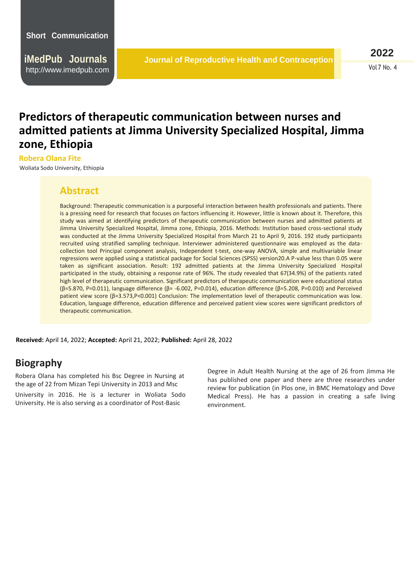**iMedPub Journals** [http://www](http://www.imedpub.com/).imedpub.com

**2022** Vol 7 No. 4

## **Predictors of therapeutic communication between nurses and admitted patients at Jimma University Specialized Hospital, Jimma zone, Ethiopia**

## **Robera Olana Fite**

Woliata Sodo University, Ethiopia

## **Abstract**

Background: Therapeutic communication is a purposeful interaction between health professionals and patients. There is a pressing need for research that focuses on factors influencing it. However, little is known about it. Therefore, this study was aimed at identifying predictors of therapeutic communication between nurses and admitted patients at Jimma University Specialized Hospital, Jimma zone, Ethiopia, 2016. Methods: Institution based cross-sectional study was conducted at the Jimma University Specialized Hospital from March 21 to April 9, 2016. 192 study participants recruited using stratified sampling technique. Interviewer administered questionnaire was employed as the datacollection tool Principal component analysis, Independent t-test, one-way ANOVA, simple and multivariable linear regressions were applied using a statistical package for Social Sciences (SPSS) version20.A P-value less than 0.05 were taken as significant association. Result: 192 admitted patients at the Jimma University Specialized Hospital participated in the study, obtaining a response rate of 96%. The study revealed that 67(34.9%) of the patients rated high level of therapeutic communication. Significant predictors of therapeutic communication were educational status (β=5.870, P=0.011), language difference (β= -6.002, P=0.014), education difference (β=5.208, P=0.010) and Perceived patient view score (β=3.573,P˂0.001) Conclusion: The implementation level of therapeutic communication was low. Education, language difference, education difference and perceived patient view scores were significant predictors of therapeutic communication.

 **Received:** April 14, 2022; **Accepted:** April 21, 2022; **Published:** April 28, 2022

## **Biography**

Robera Olana has completed his Bsc Degree in Nursing at the age of 22 from Mizan Tepi University in 2013 and Msc University in 2016. He is a lecturer in Woliata Sodo University. He is also serving as a coordinator of Post-Basic

Degree in Adult Health Nursing at the age of 26 from Jimma He has published one paper and there are three researches under review for publication (in Plos one, in BMC Hematology and Dove Medical Press). He has a passion in creating a safe living environment.